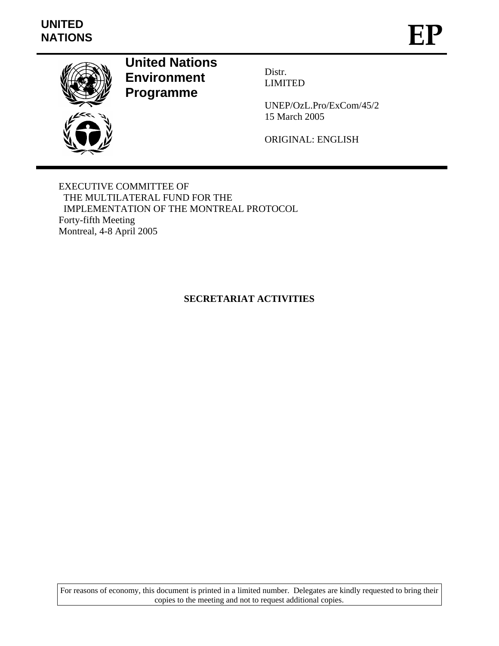

# **United Nations Environment Programme**

Distr. LIMITED

UNEP/OzL.Pro/ExCom/45/2 15 March 2005

ORIGINAL: ENGLISH

EXECUTIVE COMMITTEE OF THE MULTILATERAL FUND FOR THE IMPLEMENTATION OF THE MONTREAL PROTOCOL Forty-fifth Meeting Montreal, 4-8 April 2005

# **SECRETARIAT ACTIVITIES**

For reasons of economy, this document is printed in a limited number. Delegates are kindly requested to bring their copies to the meeting and not to request additional copies.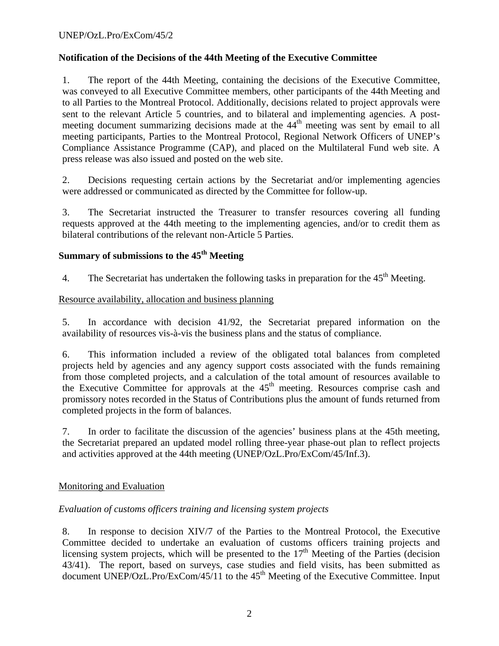# **Notification of the Decisions of the 44th Meeting of the Executive Committee**

1. The report of the 44th Meeting, containing the decisions of the Executive Committee, was conveyed to all Executive Committee members, other participants of the 44th Meeting and to all Parties to the Montreal Protocol. Additionally, decisions related to project approvals were sent to the relevant Article 5 countries, and to bilateral and implementing agencies. A postmeeting document summarizing decisions made at the 44<sup>th</sup> meeting was sent by email to all meeting participants, Parties to the Montreal Protocol, Regional Network Officers of UNEP's Compliance Assistance Programme (CAP), and placed on the Multilateral Fund web site. A press release was also issued and posted on the web site.

2. Decisions requesting certain actions by the Secretariat and/or implementing agencies were addressed or communicated as directed by the Committee for follow-up.

3. The Secretariat instructed the Treasurer to transfer resources covering all funding requests approved at the 44th meeting to the implementing agencies, and/or to credit them as bilateral contributions of the relevant non-Article 5 Parties.

# **Summary of submissions to the 45th Meeting**

4. The Secretariat has undertaken the following tasks in preparation for the  $45<sup>th</sup>$  Meeting.

### Resource availability, allocation and business planning

5. In accordance with decision 41/92, the Secretariat prepared information on the availability of resources vis-à-vis the business plans and the status of compliance.

6. This information included a review of the obligated total balances from completed projects held by agencies and any agency support costs associated with the funds remaining from those completed projects, and a calculation of the total amount of resources available to the Executive Committee for approvals at the  $45<sup>th</sup>$  meeting. Resources comprise cash and promissory notes recorded in the Status of Contributions plus the amount of funds returned from completed projects in the form of balances.

7. In order to facilitate the discussion of the agencies' business plans at the 45th meeting, the Secretariat prepared an updated model rolling three-year phase-out plan to reflect projects and activities approved at the 44th meeting (UNEP/OzL.Pro/ExCom/45/Inf.3).

# Monitoring and Evaluation

# *Evaluation of customs officers training and licensing system projects*

8. In response to decision XIV/7 of the Parties to the Montreal Protocol, the Executive Committee decided to undertake an evaluation of customs officers training projects and licensing system projects, which will be presented to the  $17<sup>th</sup>$  Meeting of the Parties (decision 43/41). The report, based on surveys, case studies and field visits, has been submitted as document UNEP/OzL.Pro/ExCom/45/11 to the  $45<sup>th</sup>$  Meeting of the Executive Committee. Input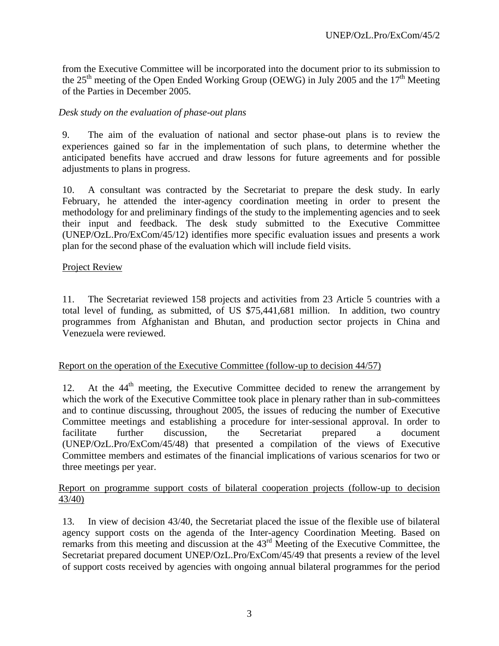from the Executive Committee will be incorporated into the document prior to its submission to the 25<sup>th</sup> meeting of the Open Ended Working Group (OEWG) in July 2005 and the 17<sup>th</sup> Meeting of the Parties in December 2005.

# *Desk study on the evaluation of phase-out plans*

9. The aim of the evaluation of national and sector phase-out plans is to review the experiences gained so far in the implementation of such plans, to determine whether the anticipated benefits have accrued and draw lessons for future agreements and for possible adjustments to plans in progress.

10. A consultant was contracted by the Secretariat to prepare the desk study. In early February, he attended the inter-agency coordination meeting in order to present the methodology for and preliminary findings of the study to the implementing agencies and to seek their input and feedback. The desk study submitted to the Executive Committee (UNEP/OzL.Pro/ExCom/45/12) identifies more specific evaluation issues and presents a work plan for the second phase of the evaluation which will include field visits.

### Project Review

11. The Secretariat reviewed 158 projects and activities from 23 Article 5 countries with a total level of funding, as submitted, of US \$75,441,681 million. In addition, two country programmes from Afghanistan and Bhutan, and production sector projects in China and Venezuela were reviewed.

#### Report on the operation of the Executive Committee (follow-up to decision 44/57)

12. At the  $44<sup>th</sup>$  meeting, the Executive Committee decided to renew the arrangement by which the work of the Executive Committee took place in plenary rather than in sub-committees and to continue discussing, throughout 2005, the issues of reducing the number of Executive Committee meetings and establishing a procedure for inter-sessional approval. In order to facilitate further discussion, the Secretariat prepared a document (UNEP/OzL.Pro/ExCom/45/48) that presented a compilation of the views of Executive Committee members and estimates of the financial implications of various scenarios for two or three meetings per year.

#### Report on programme support costs of bilateral cooperation projects (follow-up to decision 43/40)

13. In view of decision 43/40, the Secretariat placed the issue of the flexible use of bilateral agency support costs on the agenda of the Inter-agency Coordination Meeting. Based on remarks from this meeting and discussion at the 43rd Meeting of the Executive Committee, the Secretariat prepared document UNEP/OzL.Pro/ExCom/45/49 that presents a review of the level of support costs received by agencies with ongoing annual bilateral programmes for the period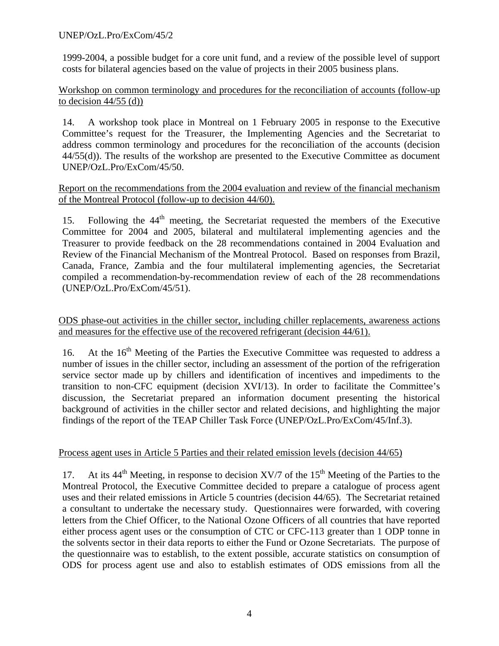1999-2004, a possible budget for a core unit fund, and a review of the possible level of support costs for bilateral agencies based on the value of projects in their 2005 business plans.

Workshop on common terminology and procedures for the reconciliation of accounts (follow-up to decision  $44/55$  (d))

14. A workshop took place in Montreal on 1 February 2005 in response to the Executive Committee's request for the Treasurer, the Implementing Agencies and the Secretariat to address common terminology and procedures for the reconciliation of the accounts (decision 44/55(d)). The results of the workshop are presented to the Executive Committee as document UNEP/OzL.Pro/ExCom/45/50.

# Report on the recommendations from the 2004 evaluation and review of the financial mechanism of the Montreal Protocol (follow-up to decision 44/60).

15. Following the  $44<sup>th</sup>$  meeting, the Secretariat requested the members of the Executive Committee for 2004 and 2005, bilateral and multilateral implementing agencies and the Treasurer to provide feedback on the 28 recommendations contained in 2004 Evaluation and Review of the Financial Mechanism of the Montreal Protocol. Based on responses from Brazil, Canada, France, Zambia and the four multilateral implementing agencies, the Secretariat compiled a recommendation-by-recommendation review of each of the 28 recommendations (UNEP/OzL.Pro/ExCom/45/51).

ODS phase-out activities in the chiller sector, including chiller replacements, awareness actions and measures for the effective use of the recovered refrigerant (decision 44/61).

16. At the  $16<sup>th</sup>$  Meeting of the Parties the Executive Committee was requested to address a number of issues in the chiller sector, including an assessment of the portion of the refrigeration service sector made up by chillers and identification of incentives and impediments to the transition to non-CFC equipment (decision XVI/13). In order to facilitate the Committee's discussion, the Secretariat prepared an information document presenting the historical background of activities in the chiller sector and related decisions, and highlighting the major findings of the report of the TEAP Chiller Task Force (UNEP/OzL.Pro/ExCom/45/Inf.3).

# Process agent uses in Article 5 Parties and their related emission levels (decision 44/65)

17. At its  $44<sup>th</sup>$  Meeting, in response to decision XV/7 of the 15<sup>th</sup> Meeting of the Parties to the Montreal Protocol, the Executive Committee decided to prepare a catalogue of process agent uses and their related emissions in Article 5 countries (decision 44/65). The Secretariat retained a consultant to undertake the necessary study. Questionnaires were forwarded, with covering letters from the Chief Officer, to the National Ozone Officers of all countries that have reported either process agent uses or the consumption of CTC or CFC-113 greater than 1 ODP tonne in the solvents sector in their data reports to either the Fund or Ozone Secretariats. The purpose of the questionnaire was to establish, to the extent possible, accurate statistics on consumption of ODS for process agent use and also to establish estimates of ODS emissions from all the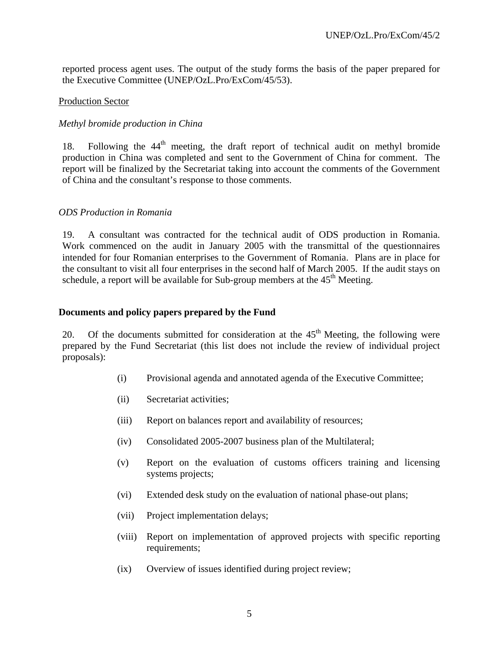reported process agent uses. The output of the study forms the basis of the paper prepared for the Executive Committee (UNEP/OzL.Pro/ExCom/45/53).

#### Production Sector

#### *Methyl bromide production in China*

18. Following the  $44<sup>th</sup>$  meeting, the draft report of technical audit on methyl bromide production in China was completed and sent to the Government of China for comment. The report will be finalized by the Secretariat taking into account the comments of the Government of China and the consultant's response to those comments.

#### *ODS Production in Romania*

19. A consultant was contracted for the technical audit of ODS production in Romania. Work commenced on the audit in January 2005 with the transmittal of the questionnaires intended for four Romanian enterprises to the Government of Romania. Plans are in place for the consultant to visit all four enterprises in the second half of March 2005. If the audit stays on schedule, a report will be available for Sub-group members at the  $45<sup>th</sup>$  Meeting.

#### **Documents and policy papers prepared by the Fund**

20. Of the documents submitted for consideration at the  $45<sup>th</sup>$  Meeting, the following were prepared by the Fund Secretariat (this list does not include the review of individual project proposals):

- (i) Provisional agenda and annotated agenda of the Executive Committee;
- (ii) Secretariat activities;
- (iii) Report on balances report and availability of resources;
- (iv) Consolidated 2005-2007 business plan of the Multilateral;
- (v) Report on the evaluation of customs officers training and licensing systems projects;
- (vi) Extended desk study on the evaluation of national phase-out plans;
- (vii) Project implementation delays;
- (viii) Report on implementation of approved projects with specific reporting requirements;
- (ix) Overview of issues identified during project review;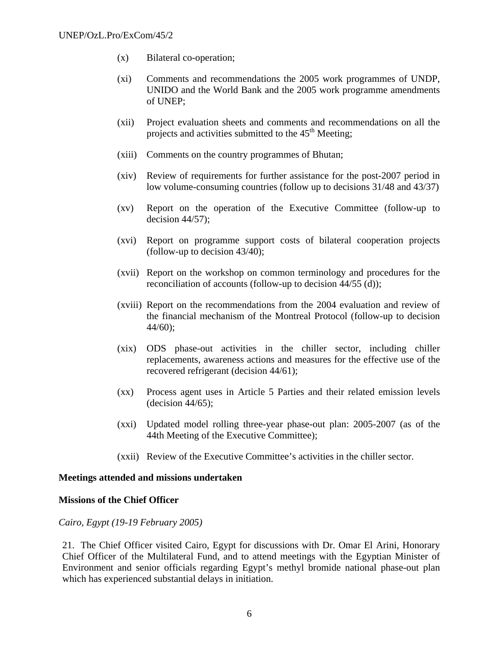- (x) Bilateral co-operation;
- (xi) Comments and recommendations the 2005 work programmes of UNDP, UNIDO and the World Bank and the 2005 work programme amendments of UNEP;
- (xii) Project evaluation sheets and comments and recommendations on all the projects and activities submitted to the  $45<sup>th</sup>$  Meeting;
- (xiii) Comments on the country programmes of Bhutan;
- (xiv) Review of requirements for further assistance for the post-2007 period in low volume-consuming countries (follow up to decisions 31/48 and 43/37)
- (xv) Report on the operation of the Executive Committee (follow-up to decision  $44/57$ );
- (xvi) Report on programme support costs of bilateral cooperation projects (follow-up to decision 43/40);
- (xvii) Report on the workshop on common terminology and procedures for the reconciliation of accounts (follow-up to decision 44/55 (d));
- (xviii) Report on the recommendations from the 2004 evaluation and review of the financial mechanism of the Montreal Protocol (follow-up to decision 44/60);
- (xix) ODS phase-out activities in the chiller sector, including chiller replacements, awareness actions and measures for the effective use of the recovered refrigerant (decision 44/61);
- (xx) Process agent uses in Article 5 Parties and their related emission levels  $-decision 44/65$ ;
- (xxi) Updated model rolling three-year phase-out plan: 2005-2007 (as of the 44th Meeting of the Executive Committee);
- (xxii) Review of the Executive Committee's activities in the chiller sector.

#### **Meetings attended and missions undertaken**

#### **Missions of the Chief Officer**

#### *Cairo, Egypt (19-19 February 2005)*

21. The Chief Officer visited Cairo, Egypt for discussions with Dr. Omar El Arini, Honorary Chief Officer of the Multilateral Fund, and to attend meetings with the Egyptian Minister of Environment and senior officials regarding Egypt's methyl bromide national phase-out plan which has experienced substantial delays in initiation.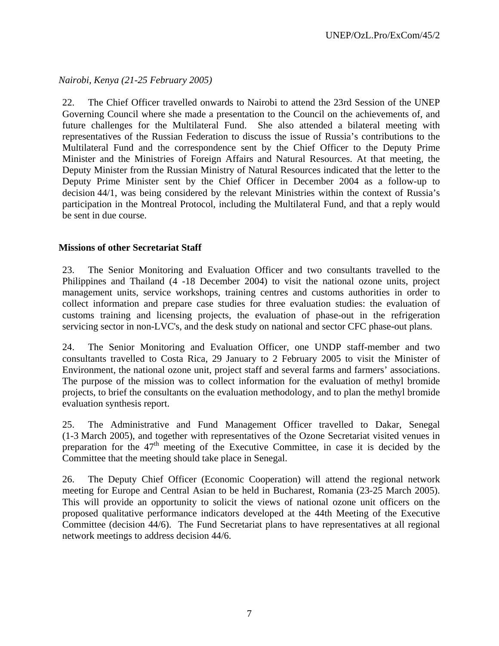*Nairobi, Kenya (21-25 February 2005)* 

22. The Chief Officer travelled onwards to Nairobi to attend the 23rd Session of the UNEP Governing Council where she made a presentation to the Council on the achievements of, and future challenges for the Multilateral Fund. She also attended a bilateral meeting with representatives of the Russian Federation to discuss the issue of Russia's contributions to the Multilateral Fund and the correspondence sent by the Chief Officer to the Deputy Prime Minister and the Ministries of Foreign Affairs and Natural Resources. At that meeting, the Deputy Minister from the Russian Ministry of Natural Resources indicated that the letter to the Deputy Prime Minister sent by the Chief Officer in December 2004 as a follow-up to decision 44/1, was being considered by the relevant Ministries within the context of Russia's participation in the Montreal Protocol, including the Multilateral Fund, and that a reply would be sent in due course.

# **Missions of other Secretariat Staff**

23. The Senior Monitoring and Evaluation Officer and two consultants travelled to the Philippines and Thailand (4 -18 December 2004) to visit the national ozone units, project management units, service workshops, training centres and customs authorities in order to collect information and prepare case studies for three evaluation studies: the evaluation of customs training and licensing projects, the evaluation of phase-out in the refrigeration servicing sector in non-LVC's, and the desk study on national and sector CFC phase-out plans.

24. The Senior Monitoring and Evaluation Officer, one UNDP staff-member and two consultants travelled to Costa Rica, 29 January to 2 February 2005 to visit the Minister of Environment, the national ozone unit, project staff and several farms and farmers' associations. The purpose of the mission was to collect information for the evaluation of methyl bromide projects, to brief the consultants on the evaluation methodology, and to plan the methyl bromide evaluation synthesis report.

25. The Administrative and Fund Management Officer travelled to Dakar, Senegal (1-3 March 2005), and together with representatives of the Ozone Secretariat visited venues in preparation for the  $47<sup>th</sup>$  meeting of the Executive Committee, in case it is decided by the Committee that the meeting should take place in Senegal.

26. The Deputy Chief Officer (Economic Cooperation) will attend the regional network meeting for Europe and Central Asian to be held in Bucharest, Romania (23-25 March 2005). This will provide an opportunity to solicit the views of national ozone unit officers on the proposed qualitative performance indicators developed at the 44th Meeting of the Executive Committee (decision 44/6). The Fund Secretariat plans to have representatives at all regional network meetings to address decision 44/6.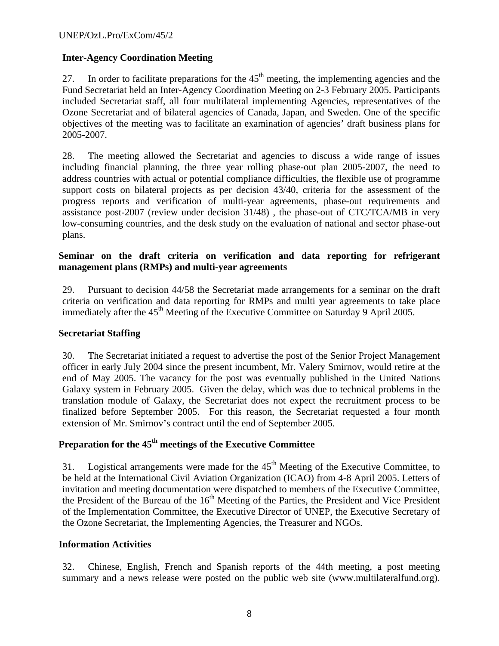# **Inter-Agency Coordination Meeting**

27. In order to facilitate preparations for the  $45<sup>th</sup>$  meeting, the implementing agencies and the Fund Secretariat held an Inter-Agency Coordination Meeting on 2-3 February 2005. Participants included Secretariat staff, all four multilateral implementing Agencies, representatives of the Ozone Secretariat and of bilateral agencies of Canada, Japan, and Sweden. One of the specific objectives of the meeting was to facilitate an examination of agencies' draft business plans for 2005-2007.

28. The meeting allowed the Secretariat and agencies to discuss a wide range of issues including financial planning, the three year rolling phase-out plan 2005-2007, the need to address countries with actual or potential compliance difficulties, the flexible use of programme support costs on bilateral projects as per decision 43/40, criteria for the assessment of the progress reports and verification of multi-year agreements, phase-out requirements and assistance post-2007 (review under decision 31/48) , the phase-out of CTC/TCA/MB in very low-consuming countries, and the desk study on the evaluation of national and sector phase-out plans.

# **Seminar on the draft criteria on verification and data reporting for refrigerant management plans (RMPs) and multi-year agreements**

29. Pursuant to decision 44/58 the Secretariat made arrangements for a seminar on the draft criteria on verification and data reporting for RMPs and multi year agreements to take place immediately after the 45<sup>th</sup> Meeting of the Executive Committee on Saturday 9 April 2005.

# **Secretariat Staffing**

30. The Secretariat initiated a request to advertise the post of the Senior Project Management officer in early July 2004 since the present incumbent, Mr. Valery Smirnov, would retire at the end of May 2005. The vacancy for the post was eventually published in the United Nations Galaxy system in February 2005. Given the delay, which was due to technical problems in the translation module of Galaxy, the Secretariat does not expect the recruitment process to be finalized before September 2005. For this reason, the Secretariat requested a four month extension of Mr. Smirnov's contract until the end of September 2005.

# Preparation for the 45<sup>th</sup> meetings of the Executive Committee

31. Logistical arrangements were made for the  $45<sup>th</sup>$  Meeting of the Executive Committee, to be held at the International Civil Aviation Organization (ICAO) from 4-8 April 2005. Letters of invitation and meeting documentation were dispatched to members of the Executive Committee, the President of the Bureau of the  $16<sup>th</sup>$  Meeting of the Parties, the President and Vice President of the Implementation Committee, the Executive Director of UNEP, the Executive Secretary of the Ozone Secretariat, the Implementing Agencies, the Treasurer and NGOs.

#### **Information Activities**

32. Chinese, English, French and Spanish reports of the 44th meeting, a post meeting summary and a news release were posted on the public web site (www.multilateralfund.org).